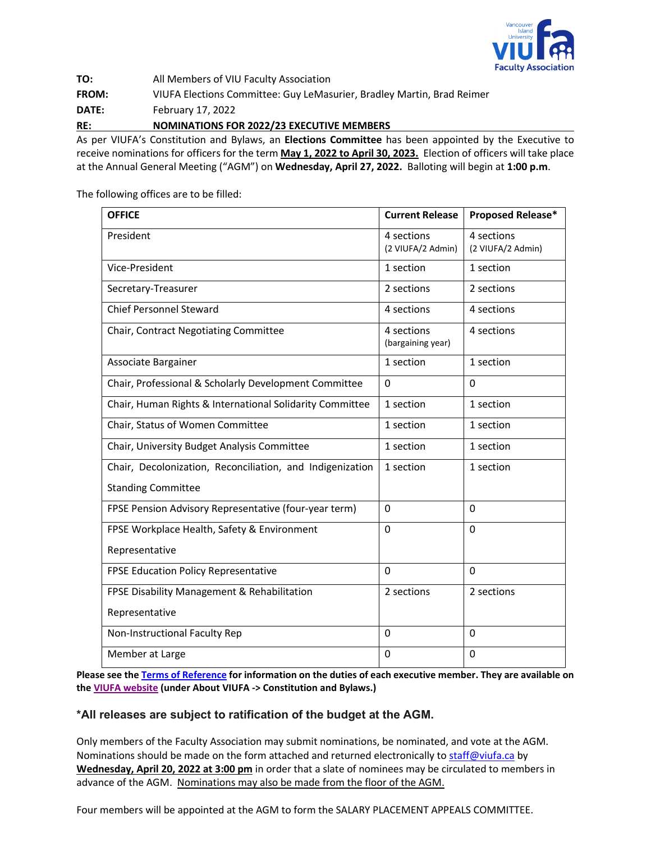

**TO:** All Members of VIU Faculty Association **FROM:** VIUFA Elections Committee: Guy LeMasurier, Bradley Martin, Brad Reimer **DATE:** February 17, 2022 **RE: NOMINATIONS FOR 2022/23 EXECUTIVE MEMBERS**

As per VIUFA's Constitution and Bylaws, an **Elections Committee** has been appointed by the Executive to receive nominations for officers for the term **May 1, 2022 to April 30, 2023.** Election of officers will take place at the Annual General Meeting ("AGM") on **Wednesday, April 27, 2022.** Balloting will begin at **1:00 p.m**.

The following offices are to be filled:

| <b>OFFICE</b>                                             | <b>Current Release</b>          | Proposed Release*               |
|-----------------------------------------------------------|---------------------------------|---------------------------------|
| President                                                 | 4 sections<br>(2 VIUFA/2 Admin) | 4 sections<br>(2 VIUFA/2 Admin) |
| Vice-President                                            | 1 section                       | 1 section                       |
| Secretary-Treasurer                                       | 2 sections                      | 2 sections                      |
| <b>Chief Personnel Steward</b>                            | 4 sections                      | 4 sections                      |
| Chair, Contract Negotiating Committee                     | 4 sections<br>(bargaining year) | 4 sections                      |
| Associate Bargainer                                       | 1 section                       | 1 section                       |
| Chair, Professional & Scholarly Development Committee     | 0                               | $\Omega$                        |
| Chair, Human Rights & International Solidarity Committee  | 1 section                       | 1 section                       |
| Chair, Status of Women Committee                          | 1 section                       | 1 section                       |
| Chair, University Budget Analysis Committee               | 1 section                       | 1 section                       |
| Chair, Decolonization, Reconciliation, and Indigenization | 1 section                       | 1 section                       |
| <b>Standing Committee</b>                                 |                                 |                                 |
| FPSE Pension Advisory Representative (four-year term)     | 0                               | $\Omega$                        |
| FPSE Workplace Health, Safety & Environment               | $\Omega$                        | $\Omega$                        |
| Representative                                            |                                 |                                 |
| FPSE Education Policy Representative                      | $\Omega$                        | $\Omega$                        |
| FPSE Disability Management & Rehabilitation               | 2 sections                      | 2 sections                      |
| Representative                                            |                                 |                                 |
| Non-Instructional Faculty Rep                             | $\Omega$                        | $\Omega$                        |
| Member at Large                                           | 0                               | $\Omega$                        |

**Please see the [Terms of Reference](http://www.viufa.ca/wp-content/uploads/2022/02/Terms-of-Reference-February-2021.pdf) for information on the duties of each executive member. They are available on the [VIUFA website](http://www.viufa.ca/wp-content/uploads/2022/02/Terms-of-Reference-February-2021.pdf) (under About VIUFA -> Constitution and Bylaws.)**

## **\*All releases are subject to ratification of the budget at the AGM.**

Only members of the Faculty Association may submit nominations, be nominated, and vote at the AGM. Nominations should be made on the form attached and returned electronically t[o staff@viufa.ca](mailto:staff@viufa.ca) by **Wednesday, April 20, 2022 at 3:00 pm** in order that a slate of nominees may be circulated to members in advance of the AGM. Nominations may also be made from the floor of the AGM.

Four members will be appointed at the AGM to form the SALARY PLACEMENT APPEALS COMMITTEE.